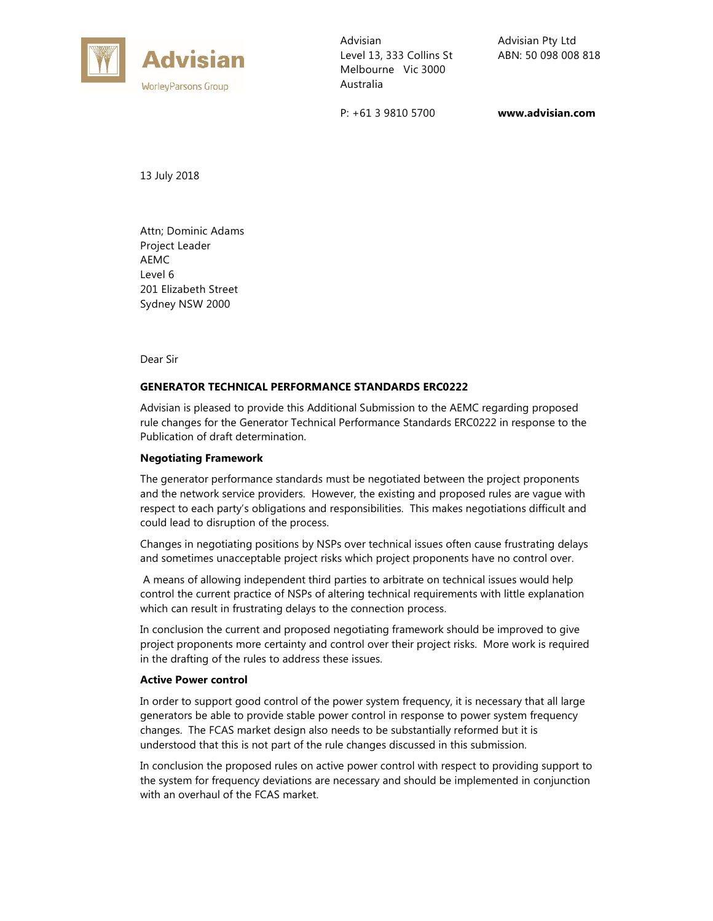

Advisian Level 13, 333 Collins St Melbourne Vic 3000 Australia

P: +61 3 9810 5700

Advisian Pty Ltd ABN: 50 098 008 818

**www.advisian.com** 

13 July 2018

Attn; Dominic Adams Project Leader AEMC Level 6 201 Elizabeth Street Sydney NSW 2000

Dear Sir

## **GENERATOR TECHNICAL PERFORMANCE STANDARDS ERC0222**

Advisian is pleased to provide this Additional Submission to the AEMC regarding proposed rule changes for the Generator Technical Performance Standards ERC0222 in response to the Publication of draft determination.

#### **Negotiating Framework**

The generator performance standards must be negotiated between the project proponents and the network service providers. However, the existing and proposed rules are vague with respect to each party's obligations and responsibilities. This makes negotiations difficult and could lead to disruption of the process.

Changes in negotiating positions by NSPs over technical issues often cause frustrating delays and sometimes unacceptable project risks which project proponents have no control over.

 A means of allowing independent third parties to arbitrate on technical issues would help control the current practice of NSPs of altering technical requirements with little explanation which can result in frustrating delays to the connection process.

In conclusion the current and proposed negotiating framework should be improved to give project proponents more certainty and control over their project risks. More work is required in the drafting of the rules to address these issues.

#### **Active Power control**

In order to support good control of the power system frequency, it is necessary that all large generators be able to provide stable power control in response to power system frequency changes. The FCAS market design also needs to be substantially reformed but it is understood that this is not part of the rule changes discussed in this submission.

In conclusion the proposed rules on active power control with respect to providing support to the system for frequency deviations are necessary and should be implemented in conjunction with an overhaul of the FCAS market.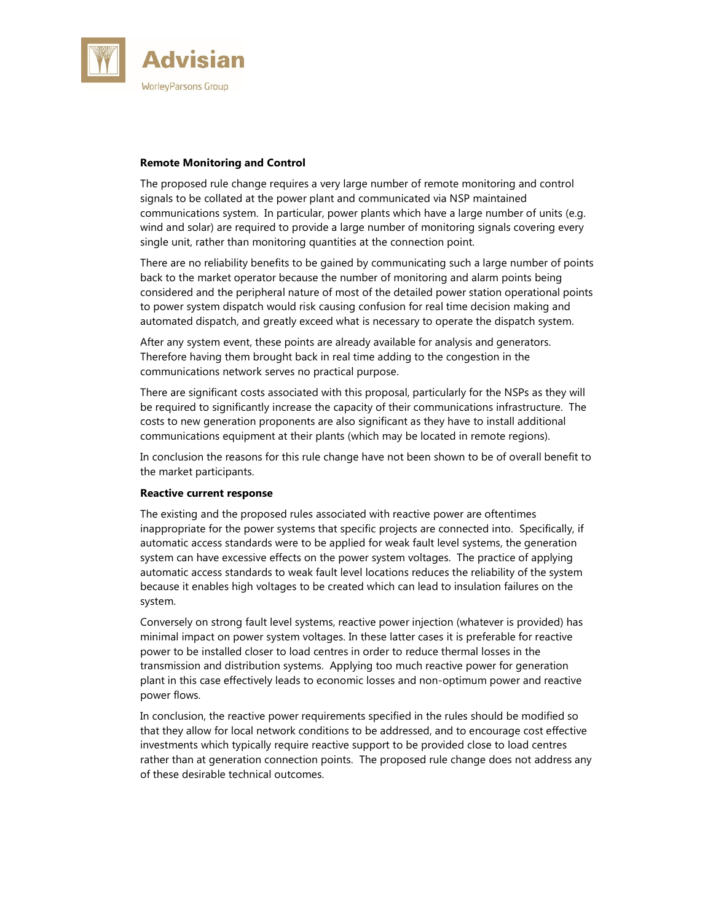

# **Remote Monitoring and Control**

The proposed rule change requires a very large number of remote monitoring and control signals to be collated at the power plant and communicated via NSP maintained communications system. In particular, power plants which have a large number of units (e.g. wind and solar) are required to provide a large number of monitoring signals covering every single unit, rather than monitoring quantities at the connection point.

There are no reliability benefits to be gained by communicating such a large number of points back to the market operator because the number of monitoring and alarm points being considered and the peripheral nature of most of the detailed power station operational points to power system dispatch would risk causing confusion for real time decision making and automated dispatch, and greatly exceed what is necessary to operate the dispatch system.

After any system event, these points are already available for analysis and generators. Therefore having them brought back in real time adding to the congestion in the communications network serves no practical purpose.

There are significant costs associated with this proposal, particularly for the NSPs as they will be required to significantly increase the capacity of their communications infrastructure. The costs to new generation proponents are also significant as they have to install additional communications equipment at their plants (which may be located in remote regions).

In conclusion the reasons for this rule change have not been shown to be of overall benefit to the market participants.

### **Reactive current response**

The existing and the proposed rules associated with reactive power are oftentimes inappropriate for the power systems that specific projects are connected into. Specifically, if automatic access standards were to be applied for weak fault level systems, the generation system can have excessive effects on the power system voltages. The practice of applying automatic access standards to weak fault level locations reduces the reliability of the system because it enables high voltages to be created which can lead to insulation failures on the system.

Conversely on strong fault level systems, reactive power injection (whatever is provided) has minimal impact on power system voltages. In these latter cases it is preferable for reactive power to be installed closer to load centres in order to reduce thermal losses in the transmission and distribution systems. Applying too much reactive power for generation plant in this case effectively leads to economic losses and non-optimum power and reactive power flows.

In conclusion, the reactive power requirements specified in the rules should be modified so that they allow for local network conditions to be addressed, and to encourage cost effective investments which typically require reactive support to be provided close to load centres rather than at generation connection points. The proposed rule change does not address any of these desirable technical outcomes.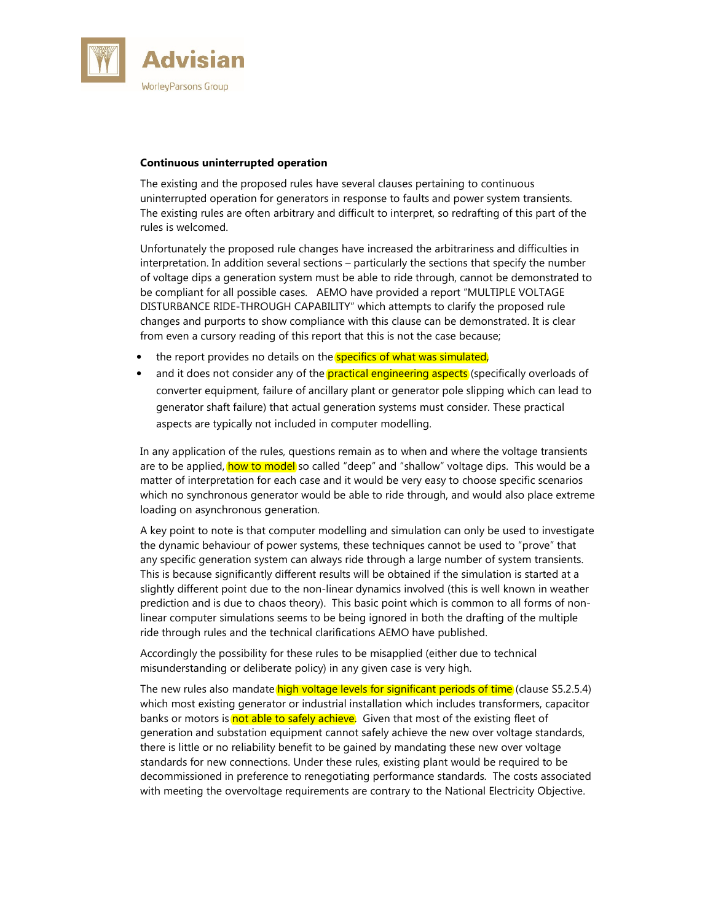

## **Continuous uninterrupted operation**

The existing and the proposed rules have several clauses pertaining to continuous uninterrupted operation for generators in response to faults and power system transients. The existing rules are often arbitrary and difficult to interpret, so redrafting of this part of the rules is welcomed.

Unfortunately the proposed rule changes have increased the arbitrariness and difficulties in interpretation. In addition several sections – particularly the sections that specify the number of voltage dips a generation system must be able to ride through, cannot be demonstrated to be compliant for all possible cases. AEMO have provided a report "MULTIPLE VOLTAGE DISTURBANCE RIDE-THROUGH CAPABILITY" which attempts to clarify the proposed rule changes and purports to show compliance with this clause can be demonstrated. It is clear from even a cursory reading of this report that this is not the case because;

- the report provides no details on the **specifics of what was simulated**,
- and it does not consider any of the **practical engineering aspects** (specifically overloads of converter equipment, failure of ancillary plant or generator pole slipping which can lead to generator shaft failure) that actual generation systems must consider. These practical aspects are typically not included in computer modelling.

In any application of the rules, questions remain as to when and where the voltage transients are to be applied, how to model so called "deep" and "shallow" voltage dips. This would be a matter of interpretation for each case and it would be very easy to choose specific scenarios which no synchronous generator would be able to ride through, and would also place extreme loading on asynchronous generation.

A key point to note is that computer modelling and simulation can only be used to investigate the dynamic behaviour of power systems, these techniques cannot be used to "prove" that any specific generation system can always ride through a large number of system transients. This is because significantly different results will be obtained if the simulation is started at a slightly different point due to the non-linear dynamics involved (this is well known in weather prediction and is due to chaos theory). This basic point which is common to all forms of nonlinear computer simulations seems to be being ignored in both the drafting of the multiple ride through rules and the technical clarifications AEMO have published.

Accordingly the possibility for these rules to be misapplied (either due to technical misunderstanding or deliberate policy) in any given case is very high.

The new rules also mandate high voltage levels for significant periods of time (clause S5.2.5.4) which most existing generator or industrial installation which includes transformers, capacitor banks or motors is not able to safely achieve. Given that most of the existing fleet of generation and substation equipment cannot safely achieve the new over voltage standards, there is little or no reliability benefit to be gained by mandating these new over voltage standards for new connections. Under these rules, existing plant would be required to be decommissioned in preference to renegotiating performance standards. The costs associated with meeting the overvoltage requirements are contrary to the National Electricity Objective.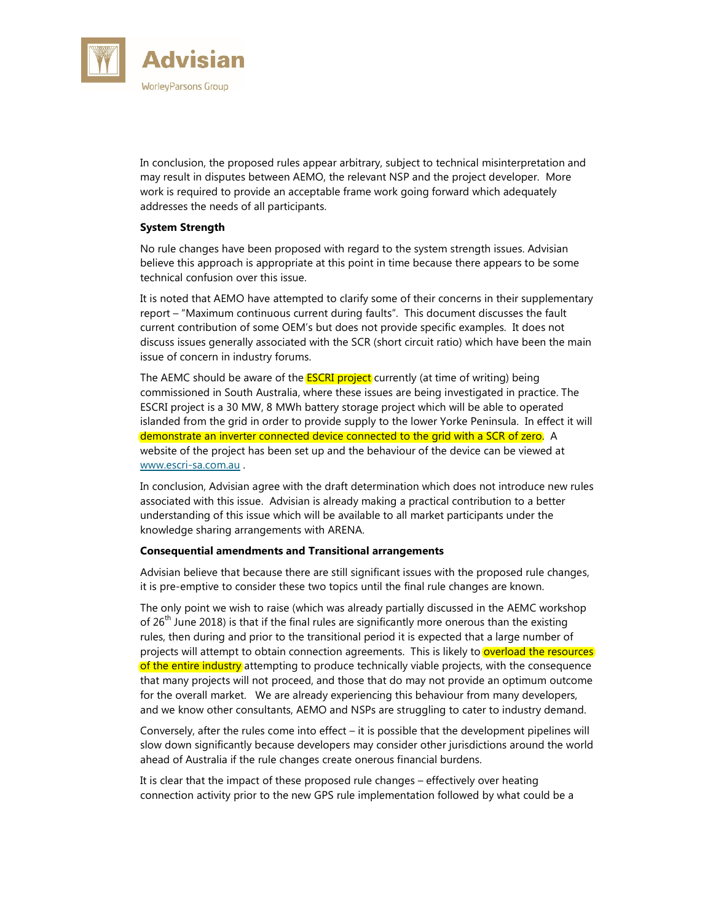

In conclusion, the proposed rules appear arbitrary, subject to technical misinterpretation and may result in disputes between AEMO, the relevant NSP and the project developer. More work is required to provide an acceptable frame work going forward which adequately addresses the needs of all participants.

# **System Strength**

No rule changes have been proposed with regard to the system strength issues. Advisian believe this approach is appropriate at this point in time because there appears to be some technical confusion over this issue.

It is noted that AEMO have attempted to clarify some of their concerns in their supplementary report – "Maximum continuous current during faults". This document discusses the fault current contribution of some OEM's but does not provide specific examples. It does not discuss issues generally associated with the SCR (short circuit ratio) which have been the main issue of concern in industry forums.

The AEMC should be aware of the **ESCRI project** currently (at time of writing) being commissioned in South Australia, where these issues are being investigated in practice. The ESCRI project is a 30 MW, 8 MWh battery storage project which will be able to operated islanded from the grid in order to provide supply to the lower Yorke Peninsula. In effect it will demonstrate an inverter connected device connected to the grid with a SCR of zero. A website of the project has been set up and the behaviour of the device can be viewed at www.escri-sa.com.au .

In conclusion, Advisian agree with the draft determination which does not introduce new rules associated with this issue. Advisian is already making a practical contribution to a better understanding of this issue which will be available to all market participants under the knowledge sharing arrangements with ARENA.

### **Consequential amendments and Transitional arrangements**

Advisian believe that because there are still significant issues with the proposed rule changes, it is pre-emptive to consider these two topics until the final rule changes are known.

The only point we wish to raise (which was already partially discussed in the AEMC workshop of  $26<sup>th</sup>$  June 2018) is that if the final rules are significantly more onerous than the existing rules, then during and prior to the transitional period it is expected that a large number of projects will attempt to obtain connection agreements. This is likely to overload the resources of the entire industry attempting to produce technically viable projects, with the consequence that many projects will not proceed, and those that do may not provide an optimum outcome for the overall market. We are already experiencing this behaviour from many developers, and we know other consultants, AEMO and NSPs are struggling to cater to industry demand.

Conversely, after the rules come into effect – it is possible that the development pipelines will slow down significantly because developers may consider other jurisdictions around the world ahead of Australia if the rule changes create onerous financial burdens.

It is clear that the impact of these proposed rule changes – effectively over heating connection activity prior to the new GPS rule implementation followed by what could be a